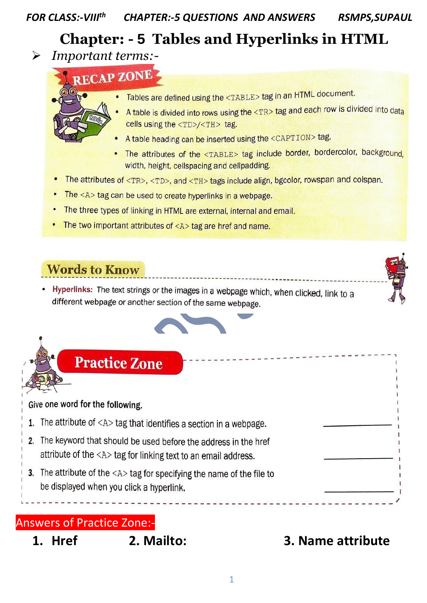### *FOR CLASS:-VIII th CHAPTER:-5 QUESTIONS AND ANSWERS RSMPS,SUPAUL*

## **Chapter: - 5 Tables and Hyperlinks in HTML**

- ➢ *Important terms:-*
	- **RECAP ZONE**
	- - Tables are defined using the <TABLE> tag in an HTML document.
		- A table is divided into rows using the <TR> tag and each row is divided into data cells using the <TD>/<TH> tag.
		- A table heading can be inserted using the <CAPTION> tag.
		- The attributes of the <TABLE> tag include border, bordercolor, background, width, height, cellspacing and cellpadding.
	- The attributes of <TR>, <TD>, and <TH> tags include align, bgcolor, rowspan and colspan.
	- The  $\langle A \rangle$  tag can be used to create hyperlinks in a webpage.
	- The three types of linking in HTML are external, internal and email.
	- The two important attributes of  $\langle A \rangle$  tag are href and name.

### **Words to Know**

Hyperlinks: The text strings or the images in a webpage which, when clicked, link to a different webpage or another section of the same webpage.



# **Practice Zone**

# Give one word for the following. 1. The attribute of  $\langle A \rangle$  tag that identifies a section in a webpage. 2. The keyword that should be used before the address in the href attribute of the <A> tag for linking text to an email address. 3. The attribute of the  $\langle A \rangle$  tag for specifying the name of the file to be displayed when you click a hyperlink.

### Answers of Practice Zone:-

**1. Href 2. Mailto: 3. Name attribute**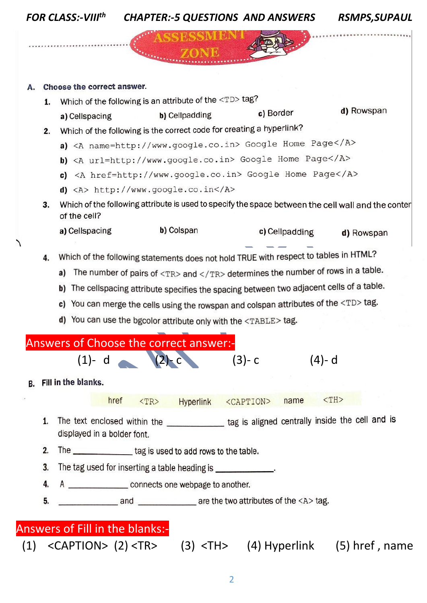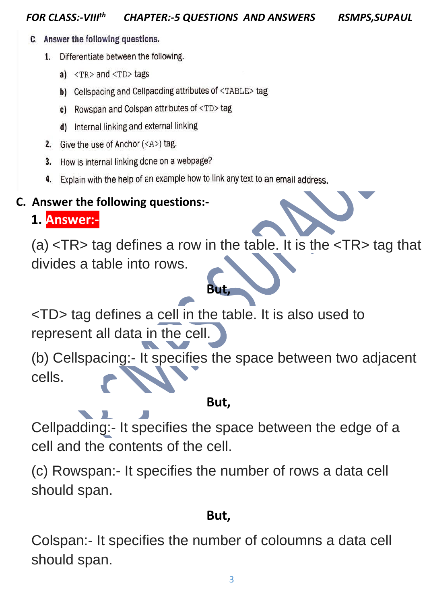- C. Answer the following questions.
	- 1. Differentiate between the following.
		- a)  $<$ TR $>$  and  $<$ TD $>$  tags
		- b) Cellspacing and Cellpadding attributes of <TABLE>tag
		- c) Rowspan and Colspan attributes of <TD> tag
		- d) Internal linking and external linking
	- 2. Give the use of Anchor  $(\langle A \rangle)$  tag.
	- How is internal linking done on a webpage? 3.
	- Explain with the help of an example how to link any text to an email address. 4.

### **C. Answer the following questions:-**

**1. Answer:-**

(a) <TR> tag defines a row in the table. It is the <TR> tag that divides a table into rows.

**But,**

<TD> tag defines a cell in the table. It is also used to represent all data in the cell.

(b) Cellspacing:- It specifies the space between two adjacent cells.

### **But,**

Cellpadding:- It specifies the space between the edge of a cell and the contents of the cell.

(c) Rowspan:- It specifies the number of rows a data cell should span.

## **But,**

Colspan:- It specifies the number of coloumns a data cell should span.